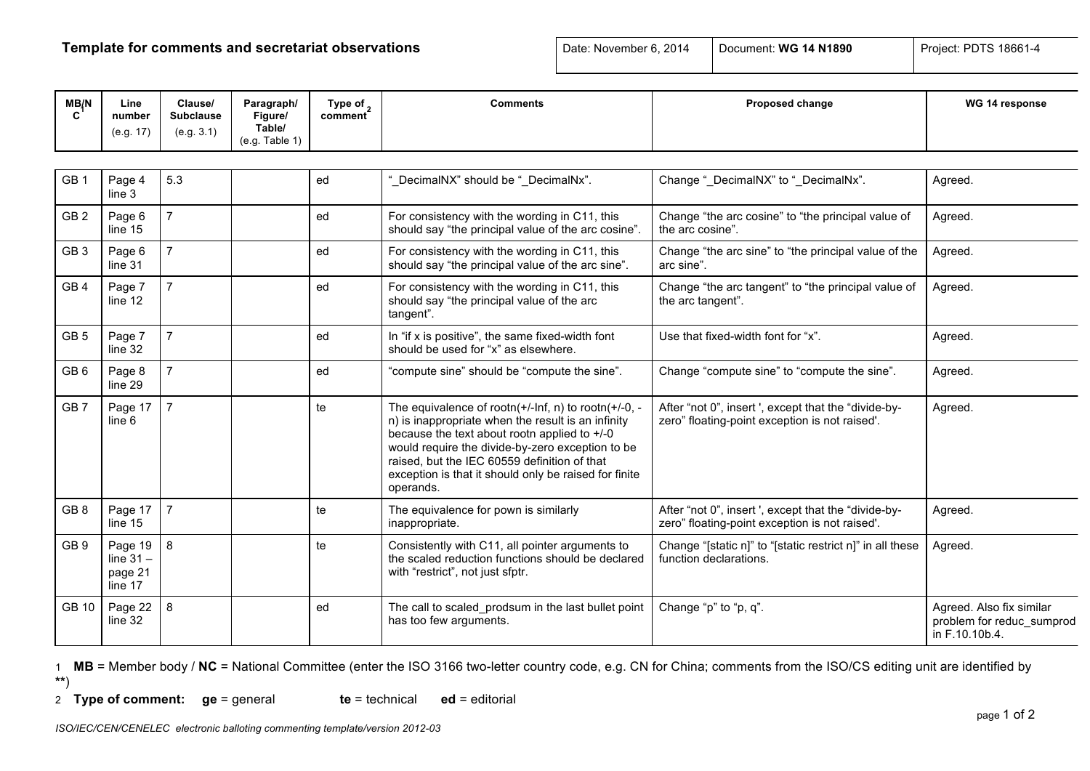## **Template for comments and secretariat observations Date: November 6, 2014** Document: WG 14 N1890 Project: PDTS 18661-4

| MB/N            | Line<br>number<br>(e.g. 17)                  | Clause/<br><b>Subclause</b><br>(e.g. 3.1) | Paragraph/<br>Figure/<br>Table/ | Type of $\alpha$<br>comment | <b>Comments</b>                                                                                                                                                                                                                                                                                                                              | Proposed change                                                                                        | WG 14 response                                                          |
|-----------------|----------------------------------------------|-------------------------------------------|---------------------------------|-----------------------------|----------------------------------------------------------------------------------------------------------------------------------------------------------------------------------------------------------------------------------------------------------------------------------------------------------------------------------------------|--------------------------------------------------------------------------------------------------------|-------------------------------------------------------------------------|
|                 |                                              |                                           | (e.q. Table 1)                  |                             |                                                                                                                                                                                                                                                                                                                                              |                                                                                                        |                                                                         |
| GB <sub>1</sub> | Page 4<br>line 3                             | 5.3                                       |                                 | ed                          | "_DecimalNX" should be "_DecimalNx".                                                                                                                                                                                                                                                                                                         | Change "_DecimalNX" to "_DecimalNx".                                                                   | Agreed.                                                                 |
| GB <sub>2</sub> | Page 6<br>line 15                            | $\overline{7}$                            |                                 | ed                          | For consistency with the wording in C11, this<br>should say "the principal value of the arc cosine".                                                                                                                                                                                                                                         | Change "the arc cosine" to "the principal value of<br>the arc cosine".                                 | Agreed.                                                                 |
| GB <sub>3</sub> | Page 6<br>line 31                            | $\overline{7}$                            |                                 | ed                          | For consistency with the wording in C11, this<br>should say "the principal value of the arc sine".                                                                                                                                                                                                                                           | Change "the arc sine" to "the principal value of the<br>arc sine".                                     | Agreed.                                                                 |
| GB <sub>4</sub> | Page 7<br>line 12                            | $\overline{7}$                            |                                 | ed                          | For consistency with the wording in C11, this<br>should say "the principal value of the arc<br>tangent".                                                                                                                                                                                                                                     | Change "the arc tangent" to "the principal value of<br>the arc tangent".                               | Agreed.                                                                 |
| GB <sub>5</sub> | Page 7<br>line 32                            | $\overline{7}$                            |                                 | ed                          | In "if x is positive", the same fixed-width font<br>should be used for "x" as elsewhere.                                                                                                                                                                                                                                                     | Use that fixed-width font for "x".                                                                     | Agreed.                                                                 |
| GB <sub>6</sub> | Page 8<br>line 29                            | $\overline{7}$                            |                                 | ed                          | "compute sine" should be "compute the sine".                                                                                                                                                                                                                                                                                                 | Change "compute sine" to "compute the sine".                                                           | Agreed.                                                                 |
| GB <sub>7</sub> | Page 17<br>line 6                            | $\overline{7}$                            |                                 | te                          | The equivalence of rootn( $+/-$ Inf, n) to rootn( $+/-0$ , -<br>n) is inappropriate when the result is an infinity<br>because the text about rootn applied to +/-0<br>would require the divide-by-zero exception to be<br>raised, but the IEC 60559 definition of that<br>exception is that it should only be raised for finite<br>operands. | After "not 0", insert ', except that the "divide-by-<br>zero" floating-point exception is not raised'. | Agreed.                                                                 |
| GB <sub>8</sub> | Page 17<br>line 15                           | $\overline{7}$                            |                                 | te                          | The equivalence for pown is similarly<br>inappropriate.                                                                                                                                                                                                                                                                                      | After "not 0", insert ', except that the "divide-by-<br>zero" floating-point exception is not raised'. | Agreed.                                                                 |
| GB <sub>9</sub> | Page 19<br>line $31 -$<br>page 21<br>line 17 | 8                                         |                                 | te                          | Consistently with C11, all pointer arguments to<br>the scaled reduction functions should be declared<br>with "restrict", not just sfptr.                                                                                                                                                                                                     | Change "[static n]" to "[static restrict n]" in all these<br>function declarations.                    | Agreed.                                                                 |
| GB 10           | Page 22<br>line 32                           | 8                                         |                                 | ed                          | The call to scaled prodsum in the last bullet point<br>has too few arguments.                                                                                                                                                                                                                                                                | Change "p" to "p, q".                                                                                  | Agreed. Also fix similar<br>problem for reduc sumprod<br>in F.10.10b.4. |

1 **MB** = Member body / **NC** = National Committee (enter the ISO 3166 two-letter country code, e.g. CN for China; comments from the ISO/CS editing unit are identified by **\*\***)

2 **Type of comment: ge** = general **te** = technical **ed** = editorial